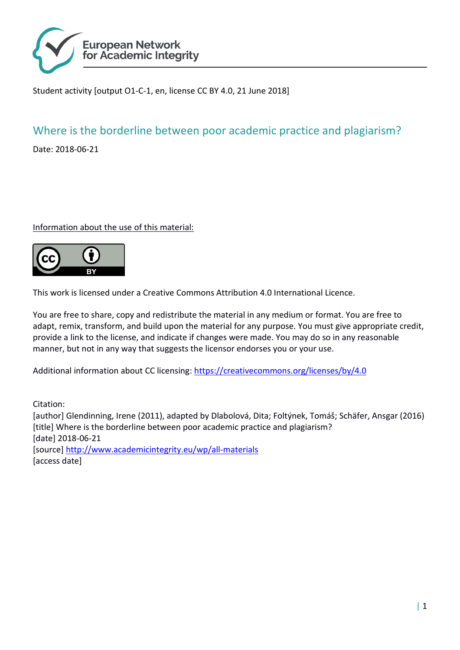

Student activity [output O1-C-1, en, license CC BY 4.0, 21 June 2018]

# Where is the borderline between poor academic practice and plagiarism?

Date: 2018-06-21

## Information about the use of this material:



This work is licensed under a Creative Commons Attribution 4.0 International Licence.

You are free to share, copy and redistribute the material in any medium or format. You are free to adapt, remix, transform, and build upon the material for any purpose. You must give appropriate credit, provide a link to the license, and indicate if changes were made. You may do so in any reasonable manner, but not in any way that suggests the licensor endorses you or your use.

Additional information about CC licensing:<https://creativecommons.org/licenses/by/4.0>

Citation: [author] Glendinning, Irene (2011), adapted by Dlabolová, Dita; Foltýnek, Tomáš; Schäfer, Ansgar (2016) [title] Where is the borderline between poor academic practice and plagiarism? [date] 2018-06-21 [source]<http://www.academicintegrity.eu/wp/all-materials> [access date]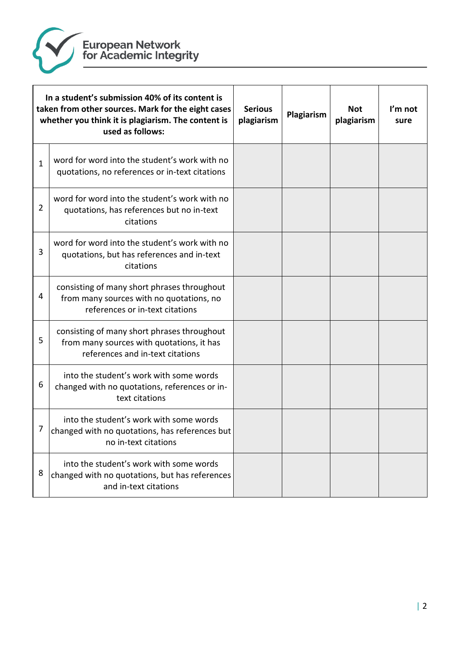

| In a student's submission 40% of its content is<br>taken from other sources. Mark for the eight cases<br>whether you think it is plagiarism. The content is<br>used as follows: |                                                                                                                              | <b>Serious</b><br>plagiarism | Plagiarism | <b>Not</b><br>plagiarism | I'm not<br>sure |
|---------------------------------------------------------------------------------------------------------------------------------------------------------------------------------|------------------------------------------------------------------------------------------------------------------------------|------------------------------|------------|--------------------------|-----------------|
| $\mathbf{1}$                                                                                                                                                                    | word for word into the student's work with no<br>quotations, no references or in-text citations                              |                              |            |                          |                 |
| $\overline{2}$                                                                                                                                                                  | word for word into the student's work with no<br>quotations, has references but no in-text<br>citations                      |                              |            |                          |                 |
| 3                                                                                                                                                                               | word for word into the student's work with no<br>quotations, but has references and in-text<br>citations                     |                              |            |                          |                 |
| 4                                                                                                                                                                               | consisting of many short phrases throughout<br>from many sources with no quotations, no<br>references or in-text citations   |                              |            |                          |                 |
| 5                                                                                                                                                                               | consisting of many short phrases throughout<br>from many sources with quotations, it has<br>references and in-text citations |                              |            |                          |                 |
| 6                                                                                                                                                                               | into the student's work with some words<br>changed with no quotations, references or in-<br>text citations                   |                              |            |                          |                 |
| 7                                                                                                                                                                               | into the student's work with some words<br>changed with no quotations, has references but<br>no in-text citations            |                              |            |                          |                 |
| 8                                                                                                                                                                               | into the student's work with some words<br>changed with no quotations, but has references<br>and in-text citations           |                              |            |                          |                 |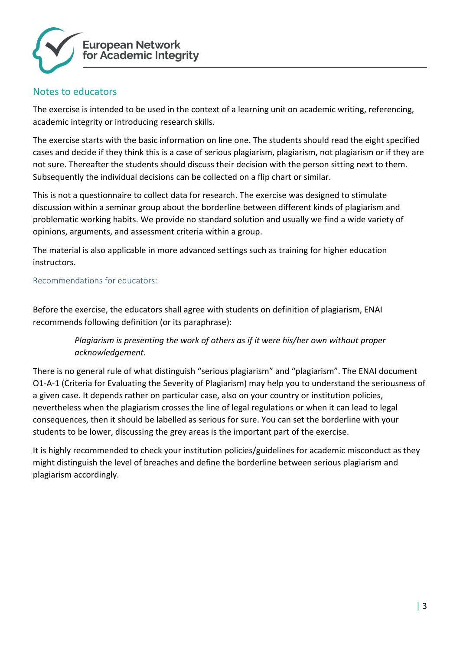

# Notes to educators

The exercise is intended to be used in the context of a learning unit on academic writing, referencing, academic integrity or introducing research skills.

The exercise starts with the basic information on line one. The students should read the eight specified cases and decide if they think this is a case of serious plagiarism, plagiarism, not plagiarism or if they are not sure. Thereafter the students should discuss their decision with the person sitting next to them. Subsequently the individual decisions can be collected on a flip chart or similar.

This is not a questionnaire to collect data for research. The exercise was designed to stimulate discussion within a seminar group about the borderline between different kinds of plagiarism and problematic working habits. We provide no standard solution and usually we find a wide variety of opinions, arguments, and assessment criteria within a group.

The material is also applicable in more advanced settings such as training for higher education instructors.

## Recommendations for educators:

Before the exercise, the educators shall agree with students on definition of plagiarism, ENAI recommends following definition (or its paraphrase):

# *Plagiarism is presenting the work of others as if it were his/her own without proper acknowledgement.*

There is no general rule of what distinguish "serious plagiarism" and "plagiarism". The ENAI document O1-A-1 (Criteria for Evaluating the Severity of Plagiarism) may help you to understand the seriousness of a given case. It depends rather on particular case, also on your country or institution policies, nevertheless when the plagiarism crosses the line of legal regulations or when it can lead to legal consequences, then it should be labelled as serious for sure. You can set the borderline with your students to be lower, discussing the grey areas is the important part of the exercise.

It is highly recommended to check your institution policies/guidelines for academic misconduct as they might distinguish the level of breaches and define the borderline between serious plagiarism and plagiarism accordingly.